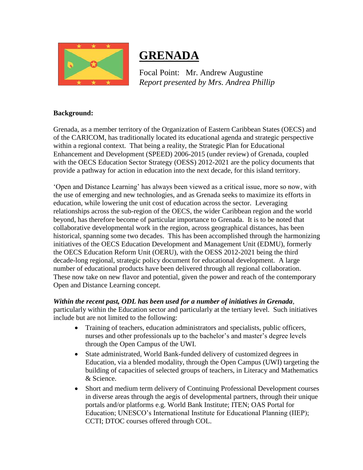

# **GRENADA**

Focal Point: Mr. Andrew Augustine *Report presented by Mrs. Andrea Phillip*

### **Background:**

Grenada, as a member territory of the Organization of Eastern Caribbean States (OECS) and of the CARICOM, has traditionally located its educational agenda and strategic perspective within a regional context. That being a reality, the Strategic Plan for Educational Enhancement and Development (SPEED) 2006-2015 (under review) of Grenada, coupled with the OECS Education Sector Strategy (OESS) 2012-2021 are the policy documents that provide a pathway for action in education into the next decade, for this island territory.

'Open and Distance Learning' has always been viewed as a critical issue, more so now, with the use of emerging and new technologies, and as Grenada seeks to maximize its efforts in education, while lowering the unit cost of education across the sector. Leveraging relationships across the sub-region of the OECS, the wider Caribbean region and the world beyond, has therefore become of particular importance to Grenada. It is to be noted that collaborative developmental work in the region, across geographical distances, has been historical, spanning some two decades. This has been accomplished through the harmonizing initiatives of the OECS Education Development and Management Unit (EDMU), formerly the OECS Education Reform Unit (OERU), with the OESS 2012-2021 being the third decade-long regional, strategic policy document for educational development. A large number of educational products have been delivered through all regional collaboration. These now take on new flavor and potential, given the power and reach of the contemporary Open and Distance Learning concept.

#### *Within the recent past, ODL has been used for a number of initiatives in Grenada*,

particularly within the Education sector and particularly at the tertiary level. Such initiatives include but are not limited to the following:

- Training of teachers, education administrators and specialists, public officers, nurses and other professionals up to the bachelor's and master's degree levels through the Open Campus of the UWI.
- State administrated, World Bank-funded delivery of customized degrees in Education, via a blended modality, through the Open Campus (UWI) targeting the building of capacities of selected groups of teachers, in Literacy and Mathematics & Science.
- Short and medium term delivery of Continuing Professional Development courses in diverse areas through the aegis of developmental partners, through their unique portals and/or platforms e.g. World Bank Institute; ITEN; OAS Portal for Education; UNESCO's International Institute for Educational Planning (IIEP); CCTI; DTOC courses offered through COL.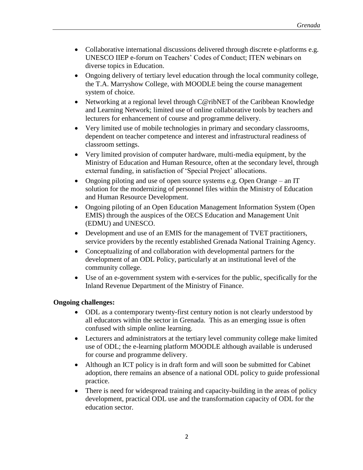- Collaborative international discussions delivered through discrete e-platforms e.g. UNESCO IIEP e-forum on Teachers' Codes of Conduct; ITEN webinars on diverse topics in Education.
- Ongoing delivery of tertiary level education through the local community college, the T.A. Marryshow College, with MOODLE being the course management system of choice.
- Networking at a regional level through C@ribNET of the Caribbean Knowledge and Learning Network; limited use of online collaborative tools by teachers and lecturers for enhancement of course and programme delivery.
- Very limited use of mobile technologies in primary and secondary classrooms, dependent on teacher competence and interest and infrastructural readiness of classroom settings.
- Very limited provision of computer hardware, multi-media equipment, by the Ministry of Education and Human Resource, often at the secondary level, through external funding, in satisfaction of 'Special Project' allocations.
- Ongoing piloting and use of open source systems e.g. Open Orange an IT solution for the modernizing of personnel files within the Ministry of Education and Human Resource Development.
- Ongoing piloting of an Open Education Management Information System (Open EMIS) through the auspices of the OECS Education and Management Unit (EDMU) and UNESCO.
- Development and use of an EMIS for the management of TVET practitioners, service providers by the recently established Grenada National Training Agency.
- Conceptualizing of and collaboration with developmental partners for the development of an ODL Policy, particularly at an institutional level of the community college.
- Use of an e-government system with e-services for the public, specifically for the Inland Revenue Department of the Ministry of Finance.

## **Ongoing challenges:**

- ODL as a contemporary twenty-first century notion is not clearly understood by all educators within the sector in Grenada. This as an emerging issue is often confused with simple online learning.
- Lecturers and administrators at the tertiary level community college make limited use of ODL; the e-learning platform MOODLE although available is underused for course and programme delivery.
- Although an ICT policy is in draft form and will soon be submitted for Cabinet adoption, there remains an absence of a national ODL policy to guide professional practice.
- There is need for widespread training and capacity-building in the areas of policy development, practical ODL use and the transformation capacity of ODL for the education sector.